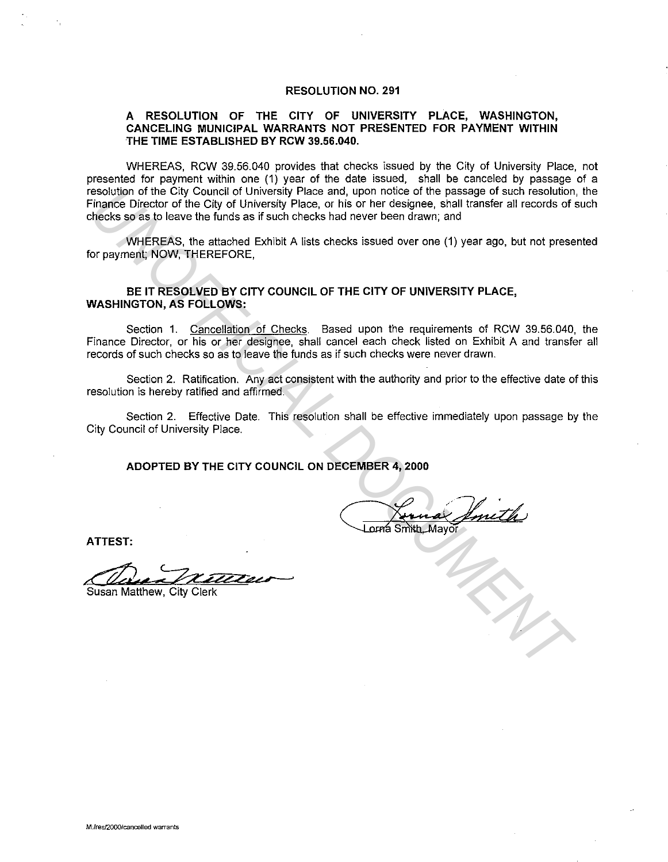#### **RESOLUTION NO. 291**

#### **A RESOLUTION OF THE CITY OF UNIVERSITY PLACE, WASHINGTON, CANCELING MUNICIPAL WARRANTS NOT PRESENTED FOR PAYMENT WITHIN THE TIME ESTABLISHED BY RCW 39.56.040.**

WHEREAS, RCW 39.56.040 provides that checks issued by the City of University Place, not presented for payment within one (1) year of the date issued, shall be canceled by passage of a resolution of the City Council of University Place and, upon notice of the passage of such resolution, the Finance Director of the City of University Place, or his or her designee, shall transfer all records of such checks so as to leave the funds as if such checks had never been drawn; and **Esolution of the City Council of University Place and, upon notice of the passage of such resolution of the City of University Place, or his or her designee, shall transfer all records of shecks so as to leave the funds a** 

WHEREAS, the attached Exhibit A lists checks issued over one (1) year ago, but not presented for payment; NOW, THEREFORE,

## **BE IT RESOLVED BY CITY COUNCIL OF THE CITY OF UNIVERSITY PLACE, WASHINGTON, AS FOLLOWS:**

Section 1. Cancellation of Checks. Based upon the requirements of RCW 39.56.040, the Finance Director, or his or her designee, shall cancel each check listed on Exhibit A and transfer all records of such checks so as to leave the funds as if such checks were never drawn.

Section 2. Ratification. Any act consistent with the authority and prior to the effective date of this resolution is hereby ratified and affirmed.

Section 2. Effective Date. This resolution shall be effective immediately upon passage by the City Council of University Place.

**ADOPTED BY THE CITY COUNCIL ON DECEMBER 4, 2000** 

**ATTEST:**